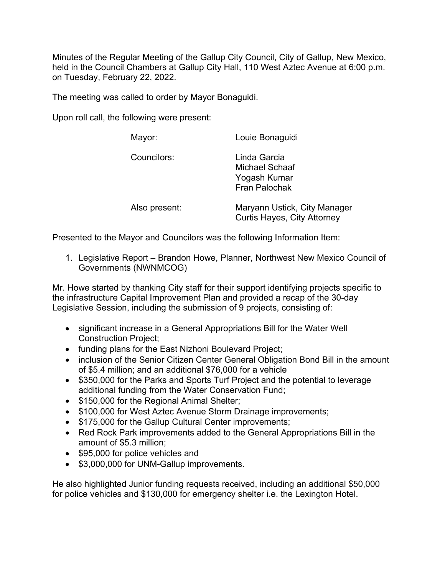Minutes of the Regular Meeting of the Gallup City Council, City of Gallup, New Mexico, held in the Council Chambers at Gallup City Hall, 110 West Aztec Avenue at 6:00 p.m. on Tuesday, February 22, 2022.

The meeting was called to order by Mayor Bonaguidi.

Upon roll call, the following were present:

| Mayor:        | Louie Bonaguidi                                                               |
|---------------|-------------------------------------------------------------------------------|
| Councilors:   | Linda Garcia<br><b>Michael Schaaf</b><br>Yogash Kumar<br><b>Fran Palochak</b> |
| Also present: | Maryann Ustick, City Manager<br><b>Curtis Hayes, City Attorney</b>            |

Presented to the Mayor and Councilors was the following Information Item:

1. Legislative Report – Brandon Howe, Planner, Northwest New Mexico Council of Governments (NWNMCOG)

Mr. Howe started by thanking City staff for their support identifying projects specific to the infrastructure Capital Improvement Plan and provided a recap of the 30-day Legislative Session, including the submission of 9 projects, consisting of:

- significant increase in a General Appropriations Bill for the Water Well Construction Project;
- funding plans for the East Nizhoni Boulevard Project;
- inclusion of the Senior Citizen Center General Obligation Bond Bill in the amount of \$5.4 million; and an additional \$76,000 for a vehicle
- \$350,000 for the Parks and Sports Turf Project and the potential to leverage additional funding from the Water Conservation Fund;
- \$150,000 for the Regional Animal Shelter;
- \$100,000 for West Aztec Avenue Storm Drainage improvements;
- \$175,000 for the Gallup Cultural Center improvements;
- Red Rock Park improvements added to the General Appropriations Bill in the amount of \$5.3 million;
- \$95,000 for police vehicles and
- \$3,000,000 for UNM-Gallup improvements.

He also highlighted Junior funding requests received, including an additional \$50,000 for police vehicles and \$130,000 for emergency shelter i.e. the Lexington Hotel.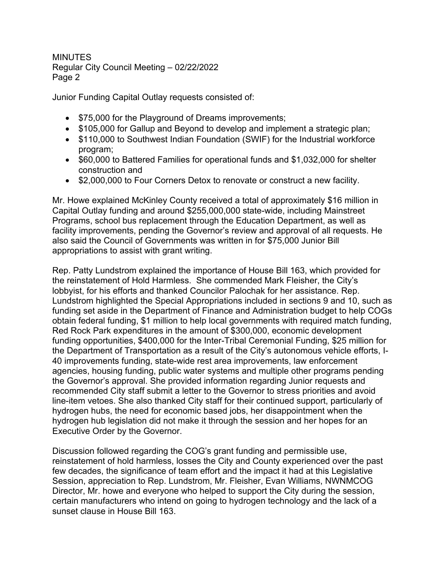Junior Funding Capital Outlay requests consisted of:

- \$75,000 for the Playground of Dreams improvements;
- \$105,000 for Gallup and Beyond to develop and implement a strategic plan;
- \$110,000 to Southwest Indian Foundation (SWIF) for the Industrial workforce program;
- \$60,000 to Battered Families for operational funds and \$1,032,000 for shelter construction and
- \$2,000,000 to Four Corners Detox to renovate or construct a new facility.

Mr. Howe explained McKinley County received a total of approximately \$16 million in Capital Outlay funding and around \$255,000,000 state-wide, including Mainstreet Programs, school bus replacement through the Education Department, as well as facility improvements, pending the Governor's review and approval of all requests. He also said the Council of Governments was written in for \$75,000 Junior Bill appropriations to assist with grant writing.

Rep. Patty Lundstrom explained the importance of House Bill 163, which provided for the reinstatement of Hold Harmless. She commended Mark Fleisher, the City's lobbyist, for his efforts and thanked Councilor Palochak for her assistance. Rep. Lundstrom highlighted the Special Appropriations included in sections 9 and 10, such as funding set aside in the Department of Finance and Administration budget to help COGs obtain federal funding, \$1 million to help local governments with required match funding, Red Rock Park expenditures in the amount of \$300,000, economic development funding opportunities, \$400,000 for the Inter-Tribal Ceremonial Funding, \$25 million for the Department of Transportation as a result of the City's autonomous vehicle efforts, I-40 improvements funding, state-wide rest area improvements, law enforcement agencies, housing funding, public water systems and multiple other programs pending the Governor's approval. She provided information regarding Junior requests and recommended City staff submit a letter to the Governor to stress priorities and avoid line-item vetoes. She also thanked City staff for their continued support, particularly of hydrogen hubs, the need for economic based jobs, her disappointment when the hydrogen hub legislation did not make it through the session and her hopes for an Executive Order by the Governor.

Discussion followed regarding the COG's grant funding and permissible use, reinstatement of hold harmless, losses the City and County experienced over the past few decades, the significance of team effort and the impact it had at this Legislative Session, appreciation to Rep. Lundstrom, Mr. Fleisher, Evan Williams, NWNMCOG Director, Mr. howe and everyone who helped to support the City during the session, certain manufacturers who intend on going to hydrogen technology and the lack of a sunset clause in House Bill 163.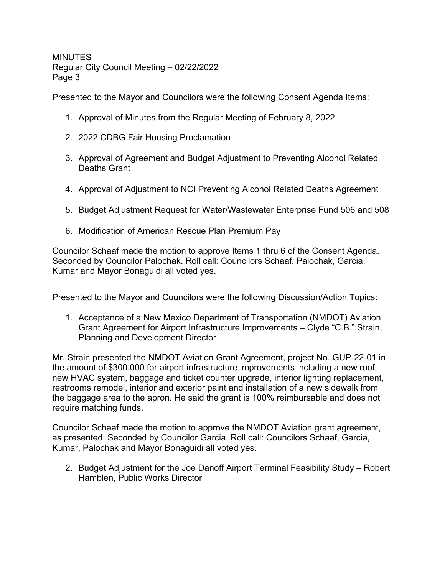Presented to the Mayor and Councilors were the following Consent Agenda Items:

- 1. Approval of Minutes from the Regular Meeting of February 8, 2022
- 2. 2022 CDBG Fair Housing Proclamation
- 3. Approval of Agreement and Budget Adjustment to Preventing Alcohol Related Deaths Grant
- 4. Approval of Adjustment to NCI Preventing Alcohol Related Deaths Agreement
- 5. Budget Adjustment Request for Water/Wastewater Enterprise Fund 506 and 508
- 6. Modification of American Rescue Plan Premium Pay

Councilor Schaaf made the motion to approve Items 1 thru 6 of the Consent Agenda. Seconded by Councilor Palochak. Roll call: Councilors Schaaf, Palochak, Garcia, Kumar and Mayor Bonaguidi all voted yes.

Presented to the Mayor and Councilors were the following Discussion/Action Topics:

1. Acceptance of a New Mexico Department of Transportation (NMDOT) Aviation Grant Agreement for Airport Infrastructure Improvements – Clyde "C.B." Strain, Planning and Development Director

Mr. Strain presented the NMDOT Aviation Grant Agreement, project No. GUP-22-01 in the amount of \$300,000 for airport infrastructure improvements including a new roof, new HVAC system, baggage and ticket counter upgrade, interior lighting replacement, restrooms remodel, interior and exterior paint and installation of a new sidewalk from the baggage area to the apron. He said the grant is 100% reimbursable and does not require matching funds.

Councilor Schaaf made the motion to approve the NMDOT Aviation grant agreement, as presented. Seconded by Councilor Garcia. Roll call: Councilors Schaaf, Garcia, Kumar, Palochak and Mayor Bonaguidi all voted yes.

2. Budget Adjustment for the Joe Danoff Airport Terminal Feasibility Study – Robert Hamblen, Public Works Director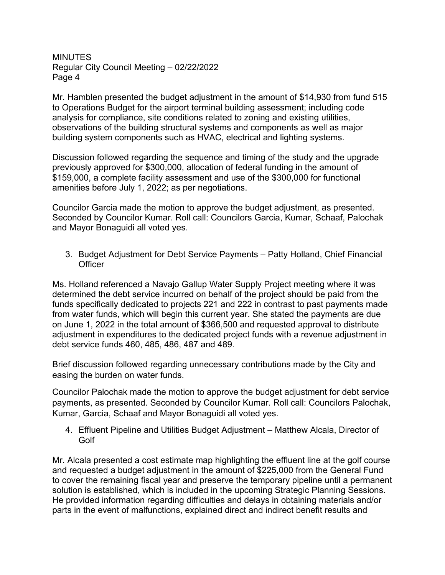Mr. Hamblen presented the budget adjustment in the amount of \$14,930 from fund 515 to Operations Budget for the airport terminal building assessment; including code analysis for compliance, site conditions related to zoning and existing utilities, observations of the building structural systems and components as well as major building system components such as HVAC, electrical and lighting systems.

Discussion followed regarding the sequence and timing of the study and the upgrade previously approved for \$300,000, allocation of federal funding in the amount of \$159,000, a complete facility assessment and use of the \$300,000 for functional amenities before July 1, 2022; as per negotiations.

Councilor Garcia made the motion to approve the budget adjustment, as presented. Seconded by Councilor Kumar. Roll call: Councilors Garcia, Kumar, Schaaf, Palochak and Mayor Bonaguidi all voted yes.

3. Budget Adjustment for Debt Service Payments – Patty Holland, Chief Financial **Officer** 

Ms. Holland referenced a Navajo Gallup Water Supply Project meeting where it was determined the debt service incurred on behalf of the project should be paid from the funds specifically dedicated to projects 221 and 222 in contrast to past payments made from water funds, which will begin this current year. She stated the payments are due on June 1, 2022 in the total amount of \$366,500 and requested approval to distribute adjustment in expenditures to the dedicated project funds with a revenue adjustment in debt service funds 460, 485, 486, 487 and 489.

Brief discussion followed regarding unnecessary contributions made by the City and easing the burden on water funds.

Councilor Palochak made the motion to approve the budget adjustment for debt service payments, as presented. Seconded by Councilor Kumar. Roll call: Councilors Palochak, Kumar, Garcia, Schaaf and Mayor Bonaguidi all voted yes.

4. Effluent Pipeline and Utilities Budget Adjustment – Matthew Alcala, Director of **Golf** 

Mr. Alcala presented a cost estimate map highlighting the effluent line at the golf course and requested a budget adjustment in the amount of \$225,000 from the General Fund to cover the remaining fiscal year and preserve the temporary pipeline until a permanent solution is established, which is included in the upcoming Strategic Planning Sessions. He provided information regarding difficulties and delays in obtaining materials and/or parts in the event of malfunctions, explained direct and indirect benefit results and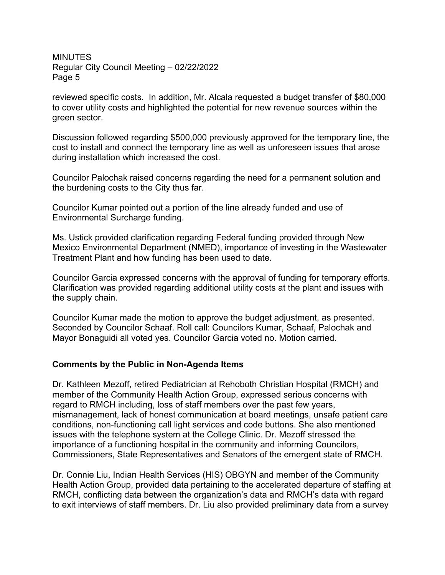reviewed specific costs. In addition, Mr. Alcala requested a budget transfer of \$80,000 to cover utility costs and highlighted the potential for new revenue sources within the green sector.

Discussion followed regarding \$500,000 previously approved for the temporary line, the cost to install and connect the temporary line as well as unforeseen issues that arose during installation which increased the cost.

Councilor Palochak raised concerns regarding the need for a permanent solution and the burdening costs to the City thus far.

Councilor Kumar pointed out a portion of the line already funded and use of Environmental Surcharge funding.

Ms. Ustick provided clarification regarding Federal funding provided through New Mexico Environmental Department (NMED), importance of investing in the Wastewater Treatment Plant and how funding has been used to date.

Councilor Garcia expressed concerns with the approval of funding for temporary efforts. Clarification was provided regarding additional utility costs at the plant and issues with the supply chain.

Councilor Kumar made the motion to approve the budget adjustment, as presented. Seconded by Councilor Schaaf. Roll call: Councilors Kumar, Schaaf, Palochak and Mayor Bonaguidi all voted yes. Councilor Garcia voted no. Motion carried.

## **Comments by the Public in Non-Agenda Items**

Dr. Kathleen Mezoff, retired Pediatrician at Rehoboth Christian Hospital (RMCH) and member of the Community Health Action Group, expressed serious concerns with regard to RMCH including, loss of staff members over the past few years, mismanagement, lack of honest communication at board meetings, unsafe patient care conditions, non-functioning call light services and code buttons. She also mentioned issues with the telephone system at the College Clinic. Dr. Mezoff stressed the importance of a functioning hospital in the community and informing Councilors, Commissioners, State Representatives and Senators of the emergent state of RMCH.

Dr. Connie Liu, Indian Health Services (HIS) OBGYN and member of the Community Health Action Group, provided data pertaining to the accelerated departure of staffing at RMCH, conflicting data between the organization's data and RMCH's data with regard to exit interviews of staff members. Dr. Liu also provided preliminary data from a survey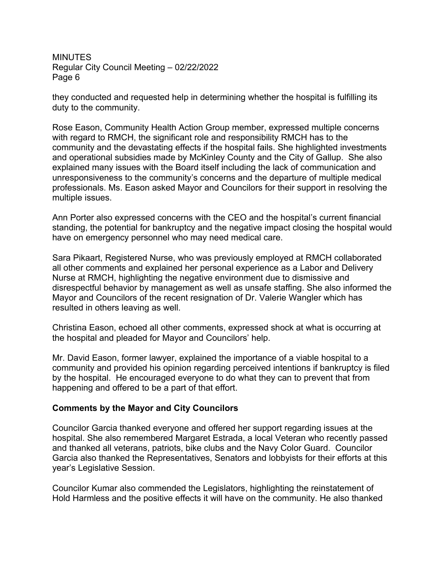they conducted and requested help in determining whether the hospital is fulfilling its duty to the community.

Rose Eason, Community Health Action Group member, expressed multiple concerns with regard to RMCH, the significant role and responsibility RMCH has to the community and the devastating effects if the hospital fails. She highlighted investments and operational subsidies made by McKinley County and the City of Gallup. She also explained many issues with the Board itself including the lack of communication and unresponsiveness to the community's concerns and the departure of multiple medical professionals. Ms. Eason asked Mayor and Councilors for their support in resolving the multiple issues.

Ann Porter also expressed concerns with the CEO and the hospital's current financial standing, the potential for bankruptcy and the negative impact closing the hospital would have on emergency personnel who may need medical care.

Sara Pikaart, Registered Nurse, who was previously employed at RMCH collaborated all other comments and explained her personal experience as a Labor and Delivery Nurse at RMCH, highlighting the negative environment due to dismissive and disrespectful behavior by management as well as unsafe staffing. She also informed the Mayor and Councilors of the recent resignation of Dr. Valerie Wangler which has resulted in others leaving as well.

Christina Eason, echoed all other comments, expressed shock at what is occurring at the hospital and pleaded for Mayor and Councilors' help.

Mr. David Eason, former lawyer, explained the importance of a viable hospital to a community and provided his opinion regarding perceived intentions if bankruptcy is filed by the hospital. He encouraged everyone to do what they can to prevent that from happening and offered to be a part of that effort.

## **Comments by the Mayor and City Councilors**

Councilor Garcia thanked everyone and offered her support regarding issues at the hospital. She also remembered Margaret Estrada, a local Veteran who recently passed and thanked all veterans, patriots, bike clubs and the Navy Color Guard. Councilor Garcia also thanked the Representatives, Senators and lobbyists for their efforts at this year's Legislative Session.

Councilor Kumar also commended the Legislators, highlighting the reinstatement of Hold Harmless and the positive effects it will have on the community. He also thanked